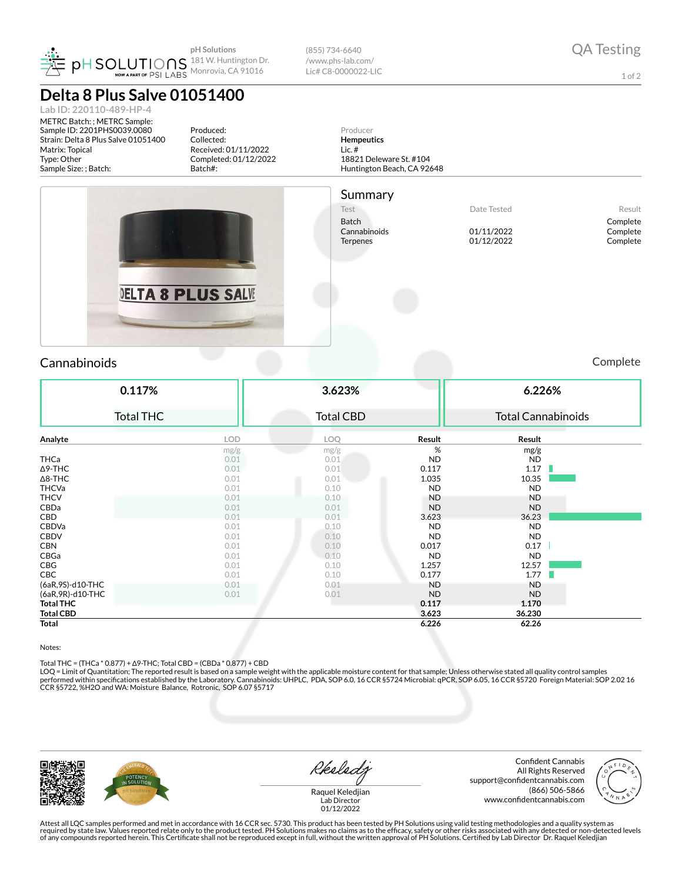

**Delta 8 Plus Salve 01051400**

**Lab ID: 220110-489-HP-4** METRC Batch: ; METRC Sample: Sample ID: 2201PHS0039.0080 Matrix: Topical Type: Other

(855) 734-6640 /www.phs-lab.com/ Lic# C8-0000022-LIC

1 of 2

Produced: Producer Collected: Strain: Delta 8 Plus Salve 01051400 **Hempeutics** Received: 01/11/2022 Lic. # Completed: 01/12/2022 18821 Deleware St. #104 Huntington Beach, CA 92648 Sample Size: ; Batch: Batch#: Summary Test Nesult Batch Complete<br>Cannabinoide Cannabinoide Complete Complete Complete Cannabinoids 01/11/2022 Complete Terpenes 01/12/2022 Complete DELTA 8 PLUS SALVE Cannabinoids Complete

| 0.117%            |            | 3.623%           |           | 6.226%                    |  |  |
|-------------------|------------|------------------|-----------|---------------------------|--|--|
| <b>Total THC</b>  |            | <b>Total CBD</b> |           | <b>Total Cannabinoids</b> |  |  |
| Analyte           | <b>LOD</b> | LOQ              | Result    | Result                    |  |  |
|                   | mg/g       | mg/g             | %         | mg/g                      |  |  |
| <b>THCa</b>       | 0.01       | 0.01             | <b>ND</b> | <b>ND</b>                 |  |  |
| ∆9-THC            | 0.01       | 0.01             | 0.117     | 1.17<br>ш                 |  |  |
| $\Delta$ 8-THC    | 0.01       | 0.01             | 1.035     | 10.35                     |  |  |
| <b>THCVa</b>      | 0.01       | 0.10             | <b>ND</b> | <b>ND</b>                 |  |  |
| <b>THCV</b>       | 0.01       | 0.10             | <b>ND</b> | <b>ND</b>                 |  |  |
| CBDa              | 0.01       | 0.01             | <b>ND</b> | <b>ND</b>                 |  |  |
| CBD               | 0.01       | 0.01             | 3.623     | 36.23                     |  |  |
| CBDVa             | 0.01       | 0.10             | <b>ND</b> | <b>ND</b>                 |  |  |
| <b>CBDV</b>       | 0.01       | 0.10             | <b>ND</b> | <b>ND</b>                 |  |  |
| <b>CBN</b>        | 0.01       | 0.10             | 0.017     | 0.17                      |  |  |
| CBGa              | 0.01       | 0.10             | <b>ND</b> | <b>ND</b>                 |  |  |
| CBG               | 0.01       | 0.10             | 1.257     | 12.57                     |  |  |
| CBC               | 0.01       | 0.10             | 0.177     | 1.77                      |  |  |
| (6aR, 9S)-d10-THC | 0.01       | 0.01             | ND        | <b>ND</b>                 |  |  |
| (6aR, 9R)-d10-THC | 0.01       | 0.01             | <b>ND</b> | <b>ND</b>                 |  |  |
| <b>Total THC</b>  |            |                  | 0.117     | 1.170                     |  |  |
| <b>Total CBD</b>  |            |                  | 3.623     | 36.230                    |  |  |
|                   |            |                  |           |                           |  |  |
| <b>Total</b>      |            |                  | 6.226     | 62.26                     |  |  |

## Notes:

Total THC = (THCa \* 0.877) + Δ9-THC; Total CBD = (CBDa \* 0.877) + CBD<br>LOQ = Limit of Quantitation; The reported result is based on a sample weight with the applicable moisture content for that sample; Unless otherwise stat performed within specifications established by the Laboratory. Cannabinoids: UHPLC, PDA, SOP 6.0, 16 CCR §5724 Microbial: qPCR, SOP 6.05, 16 CCR §5720 Foreign Material: SOP 2.02 16 CCR §5722, %H2O and WA: Moisture Balance, Rotronic, SOP 6.07 §5717

Reeledy

Confident Cannabis All Rights Reserved support@confidentcannabis.com (866) 506-5866 www.confidentcannabis.com



Raquel Keledjian Lab Director 01/12/2022

Attest all LQC samples performed and met in accordance with 16 CCR sec. 5730. This product has been tested by PH Solutions using valid testing methodologies and a quality system as<br>required by state law. Values reported re